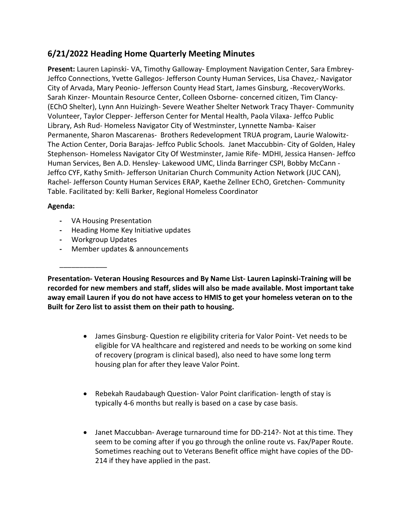# **6/21/2022 Heading Home Quarterly Meeting Minutes**

**Present:** Lauren Lapinski- VA, Timothy Galloway- Employment Navigation Center, Sara Embrey-Jeffco Connections, Yvette Gallegos- Jefferson County Human Services, Lisa Chavez,- Navigator City of Arvada, Mary Peonio- Jefferson County Head Start, James Ginsburg, -RecoveryWorks. Sarah Kinzer- Mountain Resource Center, Colleen Osborne- concerned citizen, Tim Clancy- (EChO Shelter), Lynn Ann Huizingh- Severe Weather Shelter Network Tracy Thayer- Community Volunteer, Taylor Clepper- Jefferson Center for Mental Health, Paola Vilaxa- Jeffco Public Library, Ash Rud- Homeless Navigator City of Westminster, Lynnette Namba- Kaiser Permanente, Sharon Mascarenas- Brothers Redevelopment TRUA program, Laurie Walowitz-The Action Center, Doria Barajas- Jeffco Public Schools. Janet Maccubbin- City of Golden, Haley Stephenson- Homeless Navigator City Of Westminster, Jamie Rife- MDHI, Jessica Hansen- Jeffco Human Services, Ben A.D. Hensley- Lakewood UMC, Llinda Barringer CSPI, Bobby McCann - Jeffco CYF, Kathy Smith- Jefferson Unitarian Church Community Action Network (JUC CAN), Rachel- Jefferson County Human Services ERAP, Kaethe Zellner EChO, Gretchen- Community Table. Facilitated by: Kelli Barker, Regional Homeless Coordinator

## **Agenda:**

- **-** VA Housing Presentation
- **-** Heading Home Key Initiative updates
- **-** Workgroup Updates

\_\_\_\_\_\_\_\_\_\_\_\_

**-** Member updates & announcements

**Presentation- Veteran Housing Resources and By Name List- Lauren Lapinski-Training will be recorded for new members and staff, slides will also be made available. Most important take away email Lauren if you do not have access to HMIS to get your homeless veteran on to the Built for Zero list to assist them on their path to housing.** 

- James Ginsburg- Question re eligibility criteria for Valor Point- Vet needs to be eligible for VA healthcare and registered and needs to be working on some kind of recovery (program is clinical based), also need to have some long term housing plan for after they leave Valor Point.
- Rebekah Raudabaugh Question- Valor Point clarification- length of stay is typically 4-6 months but really is based on a case by case basis.
- Janet Maccubban- Average turnaround time for DD-214?- Not at this time. They seem to be coming after if you go through the online route vs. Fax/Paper Route. Sometimes reaching out to Veterans Benefit office might have copies of the DD-214 if they have applied in the past.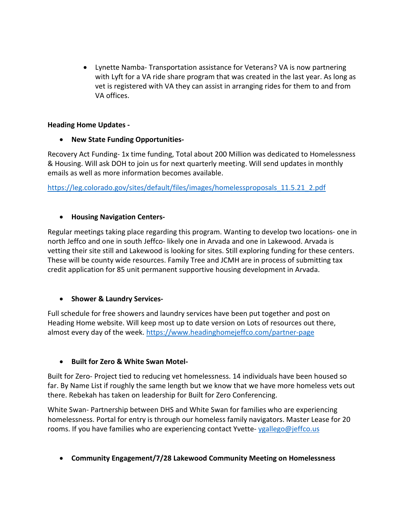• Lynette Namba- Transportation assistance for Veterans? VA is now partnering with Lyft for a VA ride share program that was created in the last year. As long as vet is registered with VA they can assist in arranging rides for them to and from VA offices.

## **Heading Home Updates -**

#### • **New State Funding Opportunities-**

Recovery Act Funding- 1x time funding, Total about 200 Million was dedicated to Homelessness & Housing. Will ask DOH to join us for next quarterly meeting. Will send updates in monthly emails as well as more information becomes available.

[https://leg.colorado.gov/sites/default/files/images/homelessproposals\\_11.5.21\\_2.pdf](https://leg.colorado.gov/sites/default/files/images/homelessproposals_11.5.21_2.pdf)

#### • **Housing Navigation Centers-**

Regular meetings taking place regarding this program. Wanting to develop two locations- one in north Jeffco and one in south Jeffco- likely one in Arvada and one in Lakewood. Arvada is vetting their site still and Lakewood is looking for sites. Still exploring funding for these centers. These will be county wide resources. Family Tree and JCMH are in process of submitting tax credit application for 85 unit permanent supportive housing development in Arvada.

## • **Shower & Laundry Services-**

Full schedule for free showers and laundry services have been put together and post on Heading Home website. Will keep most up to date version on Lots of resources out there, almost every day of the week.<https://www.headinghomejeffco.com/partner-page>

## • **Built for Zero & White Swan Motel-**

Built for Zero- Project tied to reducing vet homelessness. 14 individuals have been housed so far. By Name List if roughly the same length but we know that we have more homeless vets out there. Rebekah has taken on leadership for Built for Zero Conferencing.

White Swan- Partnership between DHS and White Swan for families who are experiencing homelessness. Portal for entry is through our homeless family navigators. Master Lease for 20 rooms. If you have families who are experiencing contact Yvette- [ygallego@jeffco.us](mailto:ygallego@jeffco.us)

• **Community Engagement/7/28 Lakewood Community Meeting on Homelessness**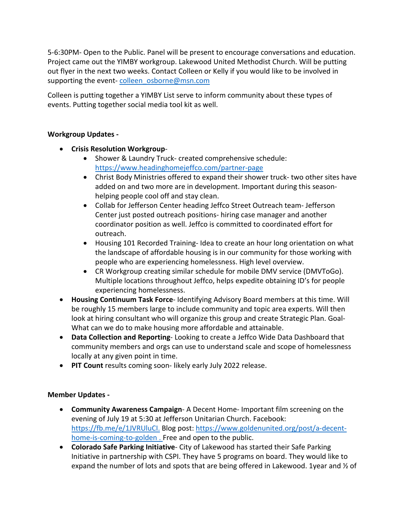5-6:30PM- Open to the Public. Panel will be present to encourage conversations and education. Project came out the YIMBY workgroup. Lakewood United Methodist Church. Will be putting out flyer in the next two weeks. Contact Colleen or Kelly if you would like to be involved in supporting the event-[colleen\\_osborne@msn.com](mailto:colleen_osborne@msn.com)

Colleen is putting together a YIMBY List serve to inform community about these types of events. Putting together social media tool kit as well.

# **Workgroup Updates -**

- **Crisis Resolution Workgroup**
	- Shower & Laundry Truck- created comprehensive schedule: <https://www.headinghomejeffco.com/partner-page>
	- Christ Body Ministries offered to expand their shower truck- two other sites have added on and two more are in development. Important during this seasonhelping people cool off and stay clean.
	- Collab for Jefferson Center heading Jeffco Street Outreach team- Jefferson Center just posted outreach positions- hiring case manager and another coordinator position as well. Jeffco is committed to coordinated effort for outreach.
	- Housing 101 Recorded Training- Idea to create an hour long orientation on what the landscape of affordable housing is in our community for those working with people who are experiencing homelessness. High level overview.
	- CR Workgroup creating similar schedule for mobile DMV service (DMVToGo). Multiple locations throughout Jeffco, helps expedite obtaining ID's for people experiencing homelessness.
- **Housing Continuum Task Force** Identifying Advisory Board members at this time. Will be roughly 15 members large to include community and topic area experts. Will then look at hiring consultant who will organize this group and create Strategic Plan. Goal-What can we do to make housing more affordable and attainable.
- **Data Collection and Reporting** Looking to create a Jeffco Wide Data Dashboard that community members and orgs can use to understand scale and scope of homelessness locally at any given point in time.
- **PIT Count** results coming soon- likely early July 2022 release.

## **Member Updates -**

- **Community Awareness Campaign** A Decent Home- Important film screening on the evening of July 19 at 5:30 at Jefferson Unitarian Church. Facebook: [https://fb.me/e/1JVRUluCI.](https://fb.me/e/1JVRUluCI) Blog post: [https://www.goldenunited.org/post/a-decent](https://www.goldenunited.org/post/a-decent-home-is-coming-to-golden%C2%A0)[home-is-coming-to-golden .](https://www.goldenunited.org/post/a-decent-home-is-coming-to-golden%C2%A0) Free and open to the public.
- **Colorado Safe Parking Initiative** City of Lakewood has started their Safe Parking Initiative in partnership with CSPI. They have 5 programs on board. They would like to expand the number of lots and spots that are being offered in Lakewood. 1year and 1/2 of